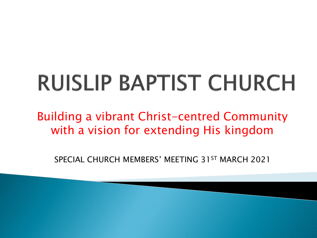# **RUISLIP BAPTIST CHURCH**

Building a vibrant Christ-centred Community with a vision for extending His kingdom

SPECIAL CHURCH MEMBERS' MEETING 31ST MARCH 2021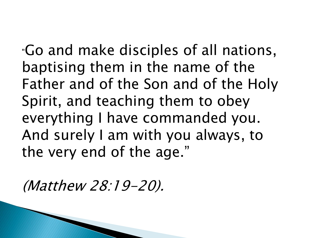"Go and make disciples of all nations, baptising them in the name of the Father and of the Son and of the Holy Spirit, and teaching them to obey everything I have commanded you. And surely I am with you always, to the very end of the age."

(Matthew 28:19-20).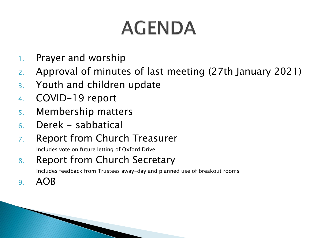### **AGENDA**

- 1. Prayer and worship
- 2. Approval of minutes of last meeting (27th January 2021)
- 3. Youth and children update
- 4. COVID-19 report
- 5. Membership matters
- 6. Derek sabbatical
- 7. Report from Church Treasurer

Includes vote on future letting of Oxford Drive

#### 8. Report from Church Secretary

Includes feedback from Trustees away-day and planned use of breakout rooms

9. AOB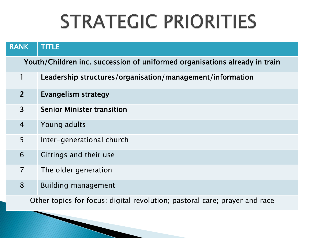#### **STRATEGIC PRIORITIES**

| <b>RANK</b>                                                                | <b>TITLE</b>                                              |  |  |
|----------------------------------------------------------------------------|-----------------------------------------------------------|--|--|
| Youth/Children inc. succession of uniformed organisations already in train |                                                           |  |  |
|                                                                            | Leadership structures/organisation/management/information |  |  |
| $\overline{2}$                                                             | Evangelism strategy                                       |  |  |
| $\overline{3}$                                                             | <b>Senior Minister transition</b>                         |  |  |
| $\overline{4}$                                                             | Young adults                                              |  |  |
| 5                                                                          | Inter-generational church                                 |  |  |
| 6                                                                          | Giftings and their use                                    |  |  |
| $\overline{7}$                                                             | The older generation                                      |  |  |
| 8                                                                          | <b>Building management</b>                                |  |  |
| Other topics for focus: digital revolution; pastoral care; prayer and race |                                                           |  |  |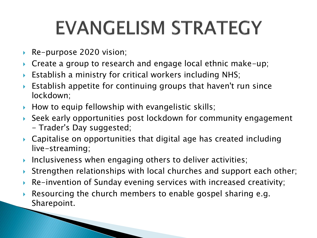#### **EVANGELISM STRATEGY**

▶ Re-purpose 2020 vision;

The Company of the Company of

- ▶ Create a group to research and engage local ethnic make-up;
- Establish a ministry for critical workers including NHS;
- Establish appetite for continuing groups that haven't run since lockdown;
- How to equip fellowship with evangelistic skills;
- Seek early opportunities post lockdown for community engagement - Trader's Day suggested;
- Capitalise on opportunities that digital age has created including live-streaming;
- Inclusiveness when engaging others to deliver activities;
- ▶ Strengthen relationships with local churches and support each other;
- Re-invention of Sunday evening services with increased creativity;
- Resourcing the church members to enable gospel sharing e.g. Sharepoint.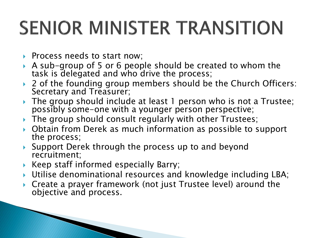## **SENIOR MINISTER TRANSITION**

- Process needs to start now;
- A sub-group of 5 or 6 people should be created to whom the task is delegated and who drive the process;
- ▶ 2 of the founding group members should be the Church Officers: Secretary and Treasurer;
- ▶ The group should include at least 1 person who is not a Trustee; possibly some-one with a younger person perspective;
- ▶ The group should consult regularly with other Trustees;
- ▶ Obtain from Derek as much information as possible to support the process;
- ▶ Support Derek through the process up to and beyond recruitment;
- ▶ Keep staff informed especially Barry;

**The Common Street, Inc., and Inc., and Inc., and Inc., and Inc., and Inc., and Inc., and Inc., and Inc., and** 

- Utilise denominational resources and knowledge including LBA;
- ▶ Create a prayer framework (not just Trustee level) around the objective and process.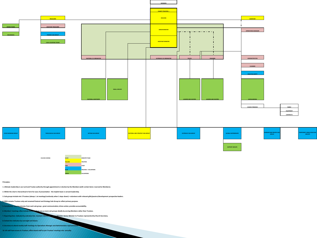

**6. Members' meetings often include feedback from one or more sub-groups ideally by serving Members rather than Trustees.**

**7. Reporting lines indicated by unbroken line. Assistant Minister to Senior Minister; Senior Minister to Trustees represented by Church Secretary.**

**8. Dotted line indicates key oversight and liaison.**

**9. Secretary to attend weekly staff meetings inc Operations Manager and Administration representation representation representation representation representation representation representation representation representation** 

```
10. All staff have access to Trustees; office-based staff to join Trustees' meetings min. annually.
```